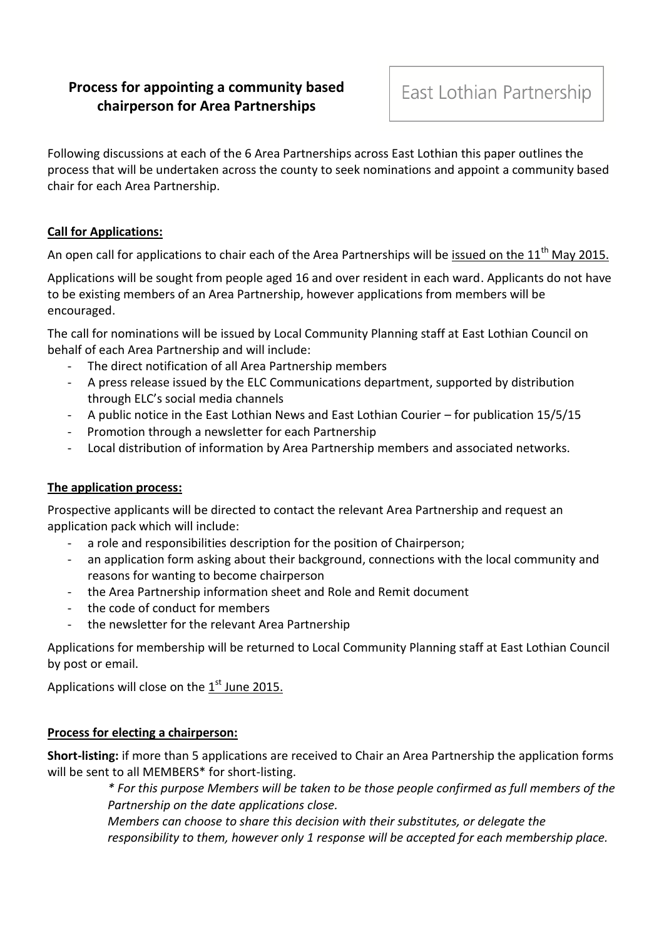# **Process for appointing a community based chairperson for Area Partnerships**

Following discussions at each of the 6 Area Partnerships across East Lothian this paper outlines the process that will be undertaken across the county to seek nominations and appoint a community based chair for each Area Partnership.

### **Call for Applications:**

An open call for applications to chair each of the Area Partnerships will be issued on the  $11<sup>th</sup>$  May 2015.

Applications will be sought from people aged 16 and over resident in each ward. Applicants do not have to be existing members of an Area Partnership, however applications from members will be encouraged.

The call for nominations will be issued by Local Community Planning staff at East Lothian Council on behalf of each Area Partnership and will include:

- The direct notification of all Area Partnership members
- A press release issued by the ELC Communications department, supported by distribution through ELC's social media channels
- A public notice in the East Lothian News and East Lothian Courier for publication 15/5/15
- Promotion through a newsletter for each Partnership
- Local distribution of information by Area Partnership members and associated networks.

## **The application process:**

Prospective applicants will be directed to contact the relevant Area Partnership and request an application pack which will include:

- a role and responsibilities description for the position of Chairperson;
- an application form asking about their background, connections with the local community and reasons for wanting to become chairperson
- the Area Partnership information sheet and Role and Remit document
- the code of conduct for members
- the newsletter for the relevant Area Partnership

Applications for membership will be returned to Local Community Planning staff at East Lothian Council by post or email.

Applications will close on the  $1<sup>st</sup>$  June 2015.

### **Process for electing a chairperson:**

**Short-listing:** if more than 5 applications are received to Chair an Area Partnership the application forms will be sent to all MEMBERS\* for short-listing.

> *\* For this purpose Members will be taken to be those people confirmed as full members of the Partnership on the date applications close.*

*Members can choose to share this decision with their substitutes, or delegate the responsibility to them, however only 1 response will be accepted for each membership place.*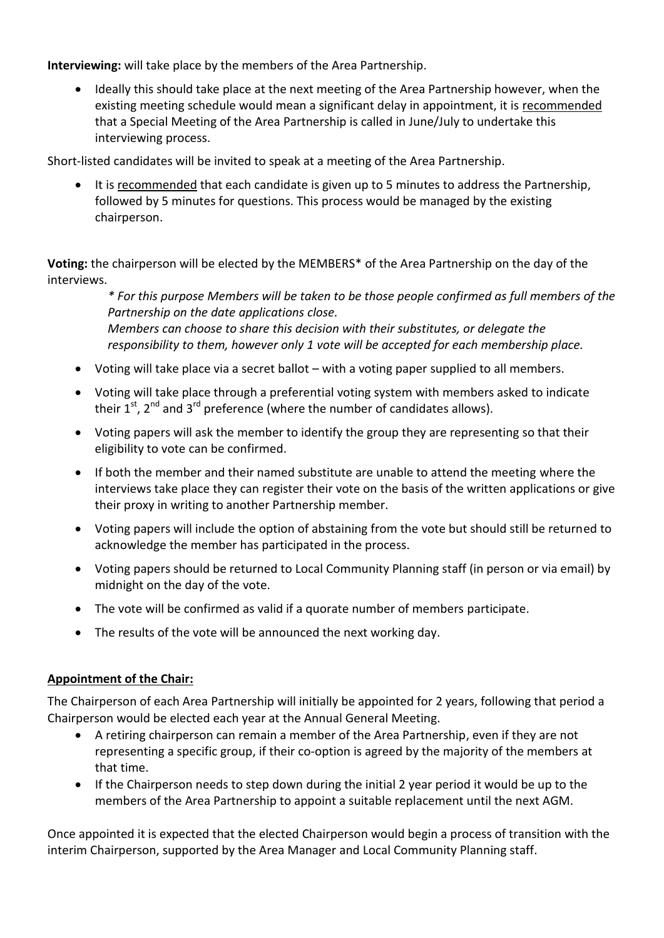**Interviewing:** will take place by the members of the Area Partnership.

 Ideally this should take place at the next meeting of the Area Partnership however, when the existing meeting schedule would mean a significant delay in appointment, it is recommended that a Special Meeting of the Area Partnership is called in June/July to undertake this interviewing process.

Short-listed candidates will be invited to speak at a meeting of the Area Partnership.

 It is recommended that each candidate is given up to 5 minutes to address the Partnership, followed by 5 minutes for questions. This process would be managed by the existing chairperson.

**Voting:** the chairperson will be elected by the MEMBERS\* of the Area Partnership on the day of the interviews.

> *\* For this purpose Members will be taken to be those people confirmed as full members of the Partnership on the date applications close. Members can choose to share this decision with their substitutes, or delegate the*

- *responsibility to them, however only 1 vote will be accepted for each membership place.*
- Voting will take place via a secret ballot with a voting paper supplied to all members.
- Voting will take place through a preferential voting system with members asked to indicate their  $1^{st}$ ,  $2^{nd}$  and  $3^{rd}$  preference (where the number of candidates allows).
- Voting papers will ask the member to identify the group they are representing so that their eligibility to vote can be confirmed.
- If both the member and their named substitute are unable to attend the meeting where the interviews take place they can register their vote on the basis of the written applications or give their proxy in writing to another Partnership member.
- Voting papers will include the option of abstaining from the vote but should still be returned to acknowledge the member has participated in the process.
- Voting papers should be returned to Local Community Planning staff (in person or via email) by midnight on the day of the vote.
- The vote will be confirmed as valid if a quorate number of members participate.
- The results of the vote will be announced the next working day.

### **Appointment of the Chair:**

The Chairperson of each Area Partnership will initially be appointed for 2 years, following that period a Chairperson would be elected each year at the Annual General Meeting.

- A retiring chairperson can remain a member of the Area Partnership, even if they are not representing a specific group, if their co-option is agreed by the majority of the members at that time.
- If the Chairperson needs to step down during the initial 2 year period it would be up to the members of the Area Partnership to appoint a suitable replacement until the next AGM.

Once appointed it is expected that the elected Chairperson would begin a process of transition with the interim Chairperson, supported by the Area Manager and Local Community Planning staff.